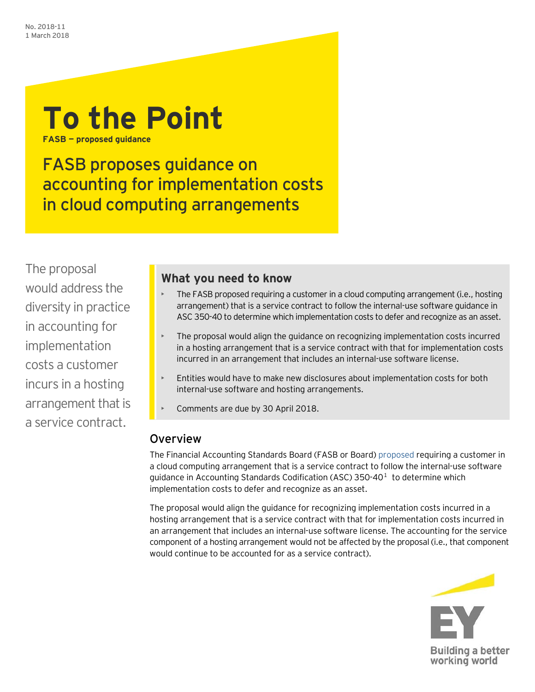

**FASB — proposed guidance**

FASB proposes guidance on accounting for implementation costs in cloud computing arrangements

The proposal would address the diversity in practice in accounting for implementation costs a customer incurs in a hosting arrangement that is a service contract.

## **What you need to know**

- The FASB proposed requiring a customer in a cloud computing arrangement (i.e., hosting arrangement) that is a service contract to follow the internal-use software guidance in ASC 350-40 to determine which implementation costs to defer and recognize as an asset.
- The proposal would align the guidance on recognizing implementation costs incurred in a hosting arrangement that is a service contract with that for implementation costs incurred in an arrangement that includes an internal-use software license.
- Entities would have to make new disclosures about implementation costs for both internal-use software and hosting arrangements.
- Comments are due by 30 April 2018.

# Overview

The Financial Accounting Standards Board (FASB or Board) [proposed](http://www.fasb.org/cs/Satellite?c=Document_C&cid=1176170115612&pagename=FASB%2FDocument_C%2FDocumentPage&mc_cid=7bc5c3ceb5&mc_eid=33c80003bb) requiring a customer in a cloud computing arrangement that is a service contract to follow the internal-use software quidance in Accounting Standards Codification (ASC) 350-40 $^1$  $^1$  to determine which implementation costs to defer and recognize as an asset.

The proposal would align the guidance for recognizing implementation costs incurred in a hosting arrangement that is a service contract with that for implementation costs incurred in an arrangement that includes an internal-use software license. The accounting for the service component of a hosting arrangement would not be affected by the proposal (i.e., that component would continue to be accounted for as a service contract).

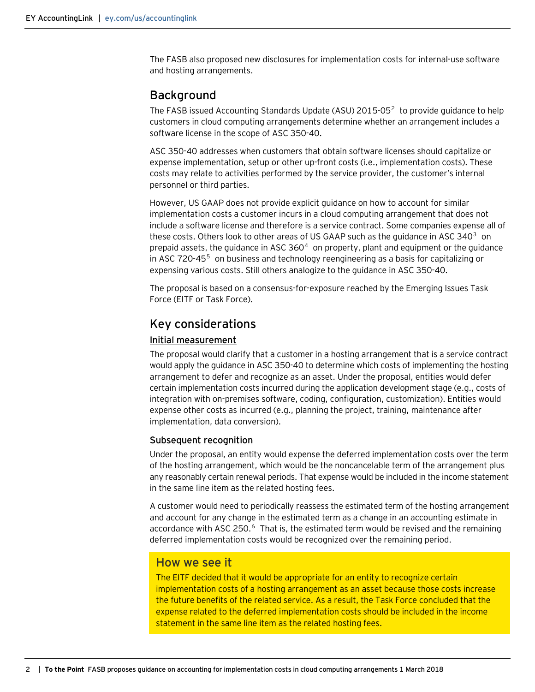The FASB also proposed new disclosures for implementation costs for internal-use software and hosting arrangements.

### Background

The FASB issued Accounting Standards Update (ASU) [2](#page-2-1)015-05 $^2$  to provide guidance to help customers in cloud computing arrangements determine whether an arrangement includes a software license in the scope of ASC 350-40.

ASC 350-40 addresses when customers that obtain software licenses should capitalize or expense implementation, setup or other up-front costs (i.e., implementation costs). These costs may relate to activities performed by the service provider, the customer's internal personnel or third parties.

However, US GAAP does not provide explicit guidance on how to account for similar implementation costs a customer incurs in a cloud computing arrangement that does not include a software license and therefore is a service contract. Some companies expense all of these costs. Others look to other areas of US GAAP such as the guidance in ASC [3](#page-2-2)40 $^3$  on prepaid assets, the guidance in ASC  $360<sup>4</sup>$  $360<sup>4</sup>$  $360<sup>4</sup>$  on property, plant and equipment or the guidance in ASC 720-4[5](#page-2-4)<sup>5</sup> on business and technology reengineering as a basis for capitalizing or expensing various costs. Still others analogize to the guidance in ASC 350-40.

The proposal is based on a consensus-for-exposure reached by the Emerging Issues Task Force (EITF or Task Force).

## Key considerations

#### Initial measurement

The proposal would clarify that a customer in a hosting arrangement that is a service contract would apply the guidance in ASC 350-40 to determine which costs of implementing the hosting arrangement to defer and recognize as an asset. Under the proposal, entities would defer certain implementation costs incurred during the application development stage (e.g., costs of integration with on-premises software, coding, configuration, customization). Entities would expense other costs as incurred (e.g., planning the project, training, maintenance after implementation, data conversion).

### Subsequent recognition

Under the proposal, an entity would expense the deferred implementation costs over the term of the hosting arrangement, which would be the noncancelable term of the arrangement plus any reasonably certain renewal periods. That expense would be included in the income statement in the same line item as the related hosting fees.

A customer would need to periodically reassess the estimated term of the hosting arrangement and account for any change in the estimated term as a change in an accounting estimate in accordance with ASC 250.<sup>[6](#page-2-5)</sup> That is, the estimated term would be revised and the remaining deferred implementation costs would be recognized over the remaining period.

### How we see it

The EITF decided that it would be appropriate for an entity to recognize certain implementation costs of a hosting arrangement as an asset because those costs increase the future benefits of the related service. As a result, the Task Force concluded that the expense related to the deferred implementation costs should be included in the income statement in the same line item as the related hosting fees.